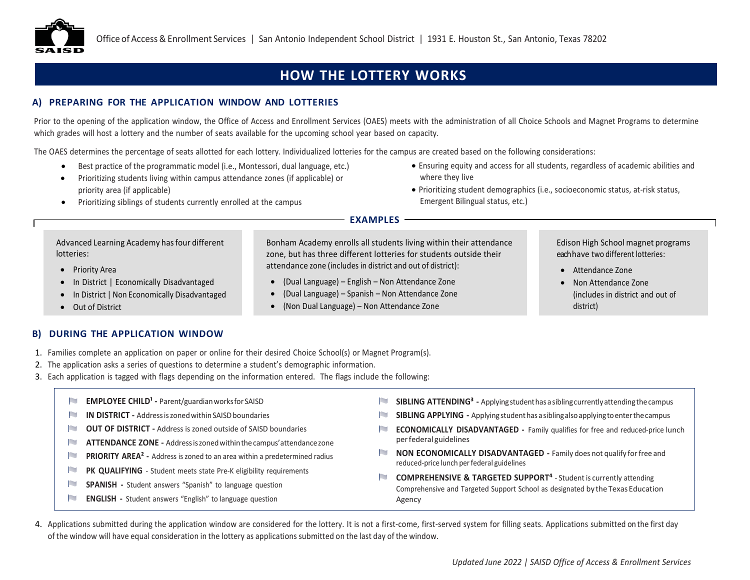

# **HOW THE LOTTERY WORKS**

# **A) PREPARING FOR THE APPLICATION WINDOW AND LOTTERIES**

Prior to the opening of the application window, the Office of Access and Enrollment Services (OAES) meets with the administration of all Choice Schools and Magnet Programs to determine which grades will host a lottery and the number of seats available for the upcoming school year based on capacity.

The OAES determines the percentage of seats allotted for each lottery. Individualized lotteries for the campus are created based on the following considerations:

- Best practice of the programmatic model (i.e., Montessori, dual language, etc.)
- Prioritizing students living within campus attendance zones (if applicable) or priority area (if applicable)
- Prioritizing siblings of students currently enrolled at the campus

• Ensuring equity and access for all students, regardless of academic abilities and where they live

> Edison High School magnet programs each have two different lotteries:

> > (includes in district and out of

• Attendance Zone • Non Attendance Zone

district)

• Prioritizing student demographics (i.e., socioeconomic status, at-risk status, Emergent Bilingual status, etc.)

### **EXAMPLES**

attendance zone (includes in district and out of district): • (Dual Language) – English – Non Attendance Zone • (Dual Language) – Spanish – Non Attendance Zone • (Non Dual Language) – Non Attendance Zone

Bonham Academy enrolls all students living within their attendance zone, but has three different lotteries for students outside their

Advanced Learning Academy hasfour different lotteries:

- Priority Area
- In District | Economically Disadvantaged
- In District | Non Economically Disadvantaged
- Out of District

### **B) DURING THE APPLICATION WINDOW**

- 1. Families complete an application on paper or online for their desired Choice School(s) or Magnet Program(s).
- 2. The application asks a series of questions to determine a student's demographic information.
- 3. Each application is tagged with flags depending on the information entered. The flags include the following:
	- **EMPLOYEE CHILD<sup>1</sup> Parent/guardian works for SAISD**
	- **IN IN DISTRICT** Address is zoned within SAISD boundaries
	- **NUMBER OUT OF DISTRICT -** Address is zoned outside of SAISD boundaries
	- **ATTENDANCE ZONE** Address is zoned within the campus' attendance zone
	- N **PRIORITY AREA² -** Address is zoned to an area within a predetermined radius
	- RT. PK QUALIFYING - Student meets state Pre-K eligibility requirements
	- N **SPANISH -** Student answers "Spanish" to language question
	- **IN ENGLISH -** Student answers "English" to language question
- **SIBLING ATTENDING<sup>3</sup>** Applying student has a sibling currently attending the campus
- **CONTRACTOR SIBLING APPLYING -** Applyingstudenthasasiblingalsoapplyingtoenterthecampus
- **INTERNATIONAL ECONOMICALLY DISADVANTAGED -** Family qualifies for free and reduced-price lunch perfederal guidelines
- **NON ECONOMICALLY DISADVANTAGED -** Family does not qualify forfree and reduced-price lunch perfederal guidelines
- **COMPREHENSIVE & TARGETED SUPPORT⁴** Student is currently attending Comprehensive and Targeted Support School as designated by the Texas Education Agency
- 4. Applications submitted during the application window are considered for the lottery. It is not a first-come, first-served system for filling seats. Applications submitted on the first day of the window will have equal consideration in the lottery as applications submitted on the last day of the window.